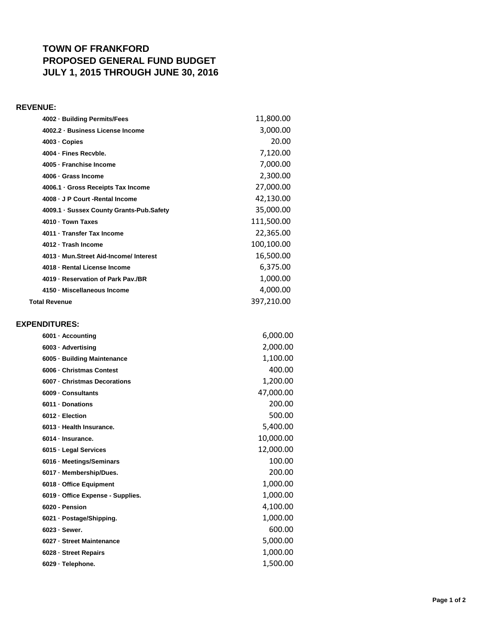## **TOWN OF FRANKFORD PROPOSED GENERAL FUND BUDGET JULY 1, 2015 THROUGH JUNE 30, 2016**

## **REVENUE:**

| 4002 · Building Permits/Fees             | 11,800.00  |
|------------------------------------------|------------|
| 4002.2 · Business License Income         | 3,000.00   |
| 4003 - Copies                            | 20.00      |
| 4004 - Fines Recyble.                    | 7,120.00   |
| 4005 - Franchise Income                  | 7,000.00   |
| 4006 · Grass Income                      | 2,300.00   |
| 4006.1 · Gross Receipts Tax Income       | 27,000.00  |
| 4008 - J P Court - Rental Income         | 42,130.00  |
| 4009.1 · Sussex County Grants-Pub.Safety | 35,000.00  |
| 4010 · Town Taxes                        | 111,500.00 |
| 4011 · Transfer Tax Income               | 22,365.00  |
| 4012 - Trash Income                      | 100,100.00 |
| 4013 - Mun. Street Aid-Income/ Interest  | 16,500.00  |
| 4018 - Rental License Income             | 6,375.00   |
| 4019 - Reservation of Park Pav./BR       | 1,000.00   |
| 4150 · Miscellaneous Income              | 4,000.00   |
| <b>Total Revenue</b>                     | 397,210.00 |
|                                          |            |
| <b>EXPENDITURES:</b>                     |            |
| 6001 · Accounting                        | 6,000.00   |
| 6003 · Advertising                       | 2,000.00   |
| 6005 · Building Maintenance              | 1,100.00   |
| 6006 - Christmas Contest                 | 400.00     |

| 6006 - Christmas Contest          | 400.00    |
|-----------------------------------|-----------|
| 6007 - Christmas Decorations      | 1,200.00  |
| 6009 - Consultants                | 47,000.00 |
| 6011 Donations                    | 200.00    |
| 6012 - Election                   | 500.00    |
| 6013 - Health Insurance.          | 5,400.00  |
| 6014 · Insurance.                 | 10,000.00 |
| 6015 - Legal Services             | 12,000.00 |
| 6016 · Meetings/Seminars          | 100.00    |
| 6017 - Membership/Dues.           | 200.00    |
| 6018 - Office Equipment           | 1,000.00  |
| 6019 - Office Expense - Supplies. | 1,000.00  |
| 6020 - Pension                    | 4,100.00  |
| 6021 · Postage/Shipping.          | 1,000.00  |
| $6023 -$ Sewer.                   | 600.00    |
| 6027 - Street Maintenance         | 5,000.00  |
| 6028 - Street Repairs             | 1,000.00  |
| 6029 · Telephone.                 | 1,500.00  |